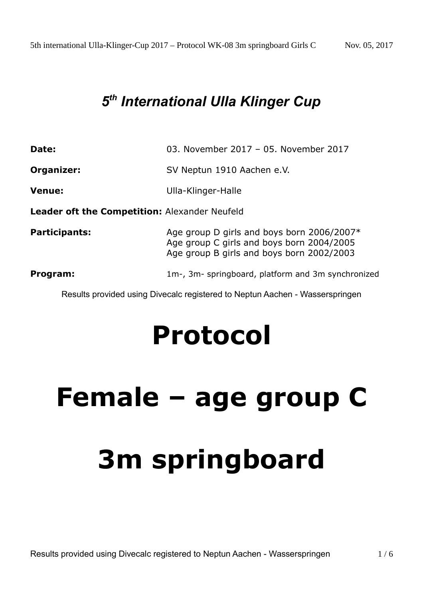### *5 th International Ulla Klinger Cup*

| Date:                                         | 03. November 2017 - 05. November 2017                                                                                                |
|-----------------------------------------------|--------------------------------------------------------------------------------------------------------------------------------------|
| Organizer:                                    | SV Neptun 1910 Aachen e.V.                                                                                                           |
| <b>Venue:</b>                                 | Ulla-Klinger-Halle                                                                                                                   |
| Leader oft the Competition: Alexander Neufeld |                                                                                                                                      |
| <b>Participants:</b>                          | Age group D girls and boys born 2006/2007*<br>Age group C girls and boys born 2004/2005<br>Age group B girls and boys born 2002/2003 |
| Program:                                      | 1m-, 3m- springboard, platform and 3m synchronized                                                                                   |

Results provided using Divecalc registered to Neptun Aachen - Wasserspringen

## **Protocol**

# **Female – age group C 3m springboard**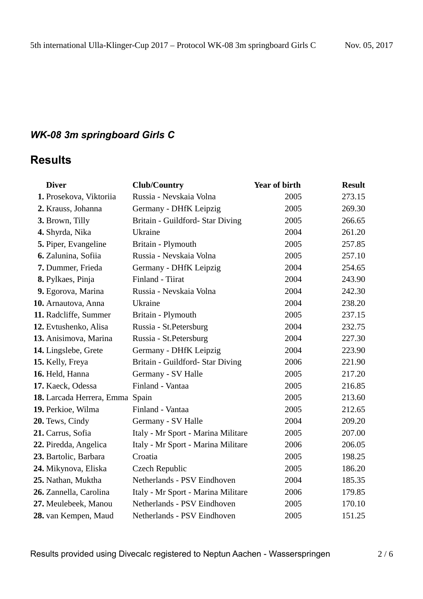#### *WK-08 3m springboard Girls C*

#### **Results**

| <b>Diver</b>                    | <b>Club/Country</b>                | <b>Year of birth</b> | <b>Result</b> |
|---------------------------------|------------------------------------|----------------------|---------------|
| 1. Prosekova, Viktoriia         | Russia - Nevskaia Volna            | 2005                 | 273.15        |
| 2. Krauss, Johanna              | Germany - DHfK Leipzig             | 2005                 | 269.30        |
| 3. Brown, Tilly                 | Britain - Guildford- Star Diving   | 2005                 | 266.65        |
| 4. Shyrda, Nika                 | <b>Ukraine</b>                     | 2004                 | 261.20        |
| 5. Piper, Evangeline            | Britain - Plymouth                 | 2005                 | 257.85        |
| 6. Zalunina, Sofiia             | Russia - Nevskaia Volna            | 2005                 | 257.10        |
| 7. Dummer, Frieda               | Germany - DHfK Leipzig             | 2004                 | 254.65        |
| 8. Pylkaes, Pinja               | Finland - Tiirat                   | 2004                 | 243.90        |
| 9. Egorova, Marina              | Russia - Nevskaia Volna            | 2004                 | 242.30        |
| 10. Arnautova, Anna             | <b>Ukraine</b>                     | 2004                 | 238.20        |
| 11. Radcliffe, Summer           | Britain - Plymouth                 | 2005                 | 237.15        |
| 12. Evtushenko, Alisa           | Russia - St. Petersburg            | 2004                 | 232.75        |
| 13. Anisimova, Marina           | Russia - St. Petersburg            | 2004                 | 227.30        |
| 14. Lingslebe, Grete            | Germany - DHfK Leipzig             | 2004                 | 223.90        |
| 15. Kelly, Freya                | Britain - Guildford- Star Diving   | 2006                 | 221.90        |
| 16. Held, Hanna                 | Germany - SV Halle                 | 2005                 | 217.20        |
| 17. Kaeck, Odessa               | Finland - Vantaa                   | 2005                 | 216.85        |
| 18. Larcada Herrera, Emma Spain |                                    | 2005                 | 213.60        |
| 19. Perkioe, Wilma              | Finland - Vantaa                   | 2005                 | 212.65        |
| 20. Tews, Cindy                 | Germany - SV Halle                 | 2004                 | 209.20        |
| 21. Carrus, Sofia               | Italy - Mr Sport - Marina Militare | 2005                 | 207.00        |
| 22. Piredda, Angelica           | Italy - Mr Sport - Marina Militare | 2006                 | 206.05        |
| 23. Bartolic, Barbara           | Croatia                            | 2005                 | 198.25        |
| 24. Mikynova, Eliska            | Czech Republic                     | 2005                 | 186.20        |
| 25. Nathan, Muktha              | Netherlands - PSV Eindhoven        | 2004                 | 185.35        |
| 26. Zannella, Carolina          | Italy - Mr Sport - Marina Militare | 2006                 | 179.85        |
| 27. Meulebeek, Manou            | Netherlands - PSV Eindhoven        | 2005                 | 170.10        |
| 28. van Kempen, Maud            | Netherlands - PSV Eindhoven        | 2005                 | 151.25        |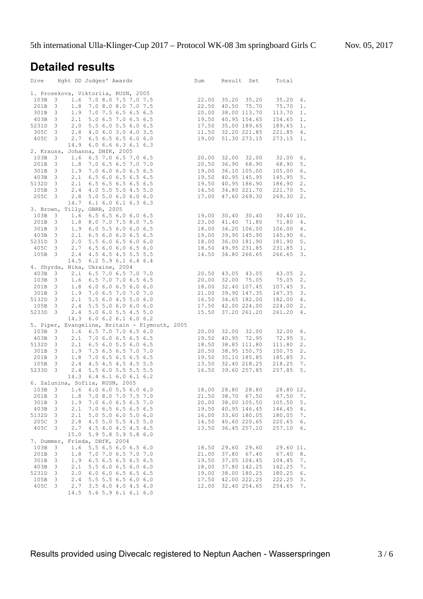#### **Detailed results**

|         |                                |                                 | Dive Hght DD Judges' Awards                                                                                                                                                                                                                                                                 | Sum   | Result Set         | Total        |
|---------|--------------------------------|---------------------------------|---------------------------------------------------------------------------------------------------------------------------------------------------------------------------------------------------------------------------------------------------------------------------------------------|-------|--------------------|--------------|
|         |                                |                                 | 1. Prosekova, Viktoriia, RUSN, 2005<br>103B 3 1.6 7.0 8.0 7.5 7.0 7.5<br>201B 3 1.8 7.0 8.0 8.0 7.0 7.5<br>201B 3 1.9 7.0 7.5 6.5 6.5 6.5<br>20.00 38.00 113.70 113.70<br>2020 113.70<br>2020 113.70<br>2020 113.70                                                                         |       |                    |              |
|         |                                |                                 |                                                                                                                                                                                                                                                                                             |       |                    | 35.20<br>4.  |
|         |                                |                                 |                                                                                                                                                                                                                                                                                             |       |                    | $1$ .        |
|         |                                |                                 |                                                                                                                                                                                                                                                                                             |       |                    | 1.           |
|         |                                |                                 |                                                                                                                                                                                                                                                                                             |       |                    | $1$ .        |
|         |                                |                                 |                                                                                                                                                                                                                                                                                             |       |                    | $1$ .        |
|         |                                |                                 |                                                                                                                                                                                                                                                                                             |       |                    | 4.           |
|         |                                |                                 | $\begin{array}{cccccccc} 403\text{B} & 3 & 2.1 & 5.0 & 6.5 & 7.0 & 6.5 & 6.5 & 19.50 & 40.95 & 154.65 & 154.65 \\ 5231\text{D} & 3 & 2.0 & 5.5 & 6.0 & 5.5 & 6.0 & 6.5 & 17.50 & 35.00 & 189.65 & 189.65 \\ 305\text{C} & 3 & 2.8 & 4.0 & 4.0 & 3.0 & 4.0 & 3.5 & 11.50 & 32.20 & 221.85 &$ |       |                    | $1$ .        |
|         |                                |                                 | 14.9 6.0 6.6 6.3 6.1 6.3                                                                                                                                                                                                                                                                    |       |                    |              |
|         |                                | 2. Krauss, Johanna, DHfK, 2005  |                                                                                                                                                                                                                                                                                             |       |                    |              |
|         |                                |                                 |                                                                                                                                                                                                                                                                                             |       |                    |              |
|         |                                |                                 |                                                                                                                                                                                                                                                                                             |       |                    |              |
|         |                                |                                 |                                                                                                                                                                                                                                                                                             |       |                    |              |
|         |                                |                                 |                                                                                                                                                                                                                                                                                             |       |                    |              |
|         |                                |                                 |                                                                                                                                                                                                                                                                                             |       |                    |              |
|         |                                |                                 |                                                                                                                                                                                                                                                                                             |       |                    |              |
|         |                                |                                 | 205C 3 2.8 5.0 5.0 6.0 6.0 6.0<br>14.7 6.1 6.0 6.1 6.3 6.3                                                                                                                                                                                                                                  |       |                    |              |
|         |                                |                                 |                                                                                                                                                                                                                                                                                             |       |                    |              |
|         |                                | 3. Brown, Tilly, GBRR, 2005     |                                                                                                                                                                                                                                                                                             |       |                    |              |
|         |                                |                                 |                                                                                                                                                                                                                                                                                             |       |                    |              |
|         |                                |                                 |                                                                                                                                                                                                                                                                                             |       |                    |              |
|         |                                |                                 |                                                                                                                                                                                                                                                                                             |       |                    |              |
|         |                                |                                 |                                                                                                                                                                                                                                                                                             |       |                    |              |
|         |                                |                                 |                                                                                                                                                                                                                                                                                             |       |                    |              |
|         |                                |                                 |                                                                                                                                                                                                                                                                                             |       |                    |              |
|         |                                |                                 | 14.5 6.2 5.9 6.1 6.4 6.4                                                                                                                                                                                                                                                                    |       |                    |              |
|         |                                |                                 | 4. Shyrda, Nika, Ukraine, 2004                                                                                                                                                                                                                                                              |       |                    |              |
|         |                                |                                 |                                                                                                                                                                                                                                                                                             |       |                    |              |
|         |                                |                                 |                                                                                                                                                                                                                                                                                             |       |                    |              |
|         |                                |                                 |                                                                                                                                                                                                                                                                                             |       |                    |              |
|         |                                |                                 |                                                                                                                                                                                                                                                                                             |       |                    |              |
|         |                                |                                 |                                                                                                                                                                                                                                                                                             |       |                    |              |
|         |                                |                                 | 4. Shyrda, Nika, Ukraine, 2004<br>403B 3 2.1 6.5 7.0 6.5 7.0 7.0<br>103B 3 1.6 6.5 7.0 7.0 6.5 6.5<br>20.00 32.00 75.05 75.05 2.<br>201B 3 1.8 6.0 6.0 6.5 6.0 6.0<br>18.00 32.40 107.45 107.45 3.<br>301B 3 1.9 7.0 6.5 7.0 7.0 7.0<br>21.0                                                |       |                    |              |
|         |                                |                                 |                                                                                                                                                                                                                                                                                             |       |                    |              |
|         |                                |                                 | 14.3 6.0 6.2 6.1 6.0 6.2                                                                                                                                                                                                                                                                    |       |                    |              |
|         |                                |                                 | 14.3 6.0 6.2 6.1 6.0 6.2<br>5. Piper, Evangeline, Britain – Plymouth, 2005<br>103B 3 1.6 6.5 7.0 7.0 6.5 6.6<br>403B 3 2.1 7.0 6.0 6.5 6.5 6.5 19.50 40.95 72.95 72.95 3.<br>51320 3 2.1 6.5 6.6.5 6.5 6.5 18.50 38.85 111.80 111.80 2                                                      |       |                    |              |
|         |                                |                                 |                                                                                                                                                                                                                                                                                             |       |                    |              |
|         |                                |                                 |                                                                                                                                                                                                                                                                                             |       |                    |              |
|         |                                |                                 |                                                                                                                                                                                                                                                                                             |       |                    |              |
|         |                                |                                 |                                                                                                                                                                                                                                                                                             |       |                    |              |
|         |                                |                                 |                                                                                                                                                                                                                                                                                             |       |                    |              |
|         |                                |                                 |                                                                                                                                                                                                                                                                                             |       |                    |              |
|         |                                |                                 | 14.3 6.4 6.1 6.0 6.1 6.2                                                                                                                                                                                                                                                                    |       |                    |              |
|         |                                | 6. Zalunina, Sofiia, RUSN, 2005 |                                                                                                                                                                                                                                                                                             |       |                    |              |
|         |                                |                                 | 6. Zalunina, Sofiia, RUSN, 2005<br>103B 3 1.6 6.0 6.0 5.5 6.0 6.0<br>103B 3 1.6 6.0 6.0 5.5 6.0 6.0                                                                                                                                                                                         |       |                    |              |
|         |                                |                                 | 201B 3 1.8 7.0 8.0 7.0 7.5 7.0 21.50 38.70 67.50 67.50 7.                                                                                                                                                                                                                                   |       |                    |              |
| 301B 3  |                                |                                 | 1.9 7.0 6.0 6.5 6.5 7.0                                                                                                                                                                                                                                                                     |       | 20.00 38.00 105.50 | 105.50<br>5. |
| 403B 3  |                                |                                 | 2.1 7.0 6.5 6.5 6.5 6.5                                                                                                                                                                                                                                                                     |       | 19.50 40.95 146.45 | 146.45<br>4. |
| 5132D 3 | 2.1                            |                                 | 5.0 5.0 6.0 5.0 6.0                                                                                                                                                                                                                                                                         |       | 16.00 33.60 180.05 | 180.05<br>7. |
| 205C    | $\overline{\mathbf{3}}$        |                                 | 2.8 4.5 5.0 5.5 4.5 5.0                                                                                                                                                                                                                                                                     |       | 14.50 40.60 220.65 | 220.65<br>6. |
| 405C 3  | 2.7                            |                                 | 4.5 4.0 4.5 4.5 4.5                                                                                                                                                                                                                                                                         | 13.50 | 36.45 257.10       | 257.10<br>6. |
|         | 15.0                           |                                 | 5.9 5.8 5.9 5.8 6.0                                                                                                                                                                                                                                                                         |       |                    |              |
|         |                                | 7. Dummer, Frieda, DHfK, 2004   |                                                                                                                                                                                                                                                                                             |       |                    |              |
| 103B    | $\overline{\mathbf{3}}$        |                                 | $1.6$ 5.5 6.5 6.0 6.5 6.0                                                                                                                                                                                                                                                                   |       | 18.50 29.60 29.60  | 29.60 11.    |
| 201B 3  | 1.8                            |                                 | 7.0 7.0 6.5 7.0 7.0                                                                                                                                                                                                                                                                         |       | 21.00 37.80 67.40  | 67.40<br>8.  |
| 301B    | $\overline{\mathbf{3}}$        |                                 | 1.9 6.5 6.5 6.5 6.5 6.5                                                                                                                                                                                                                                                                     | 19.50 | 37.05 104.45       | 104.45<br>7. |
| 403B 3  | 2.1                            |                                 | 5.5 6.0 6.5 6.0 6.0                                                                                                                                                                                                                                                                         | 18.00 | 37.80 142.25       | 142.25<br>7. |
| 5231D 3 | 2.0                            |                                 | $6.0$ $6.0$ $6.5$ $6.5$ $6.5$                                                                                                                                                                                                                                                               |       | 19.00 38.00 180.25 | 180.25<br>6. |
| 105B    | $\overline{\mathbf{3}}$<br>2.4 |                                 | 5.5 5.5 6.5 6.0 6.0                                                                                                                                                                                                                                                                         |       | 17.50 42.00 222.25 | 222.25<br>3. |
| 405C    | $\overline{\mathbf{3}}$        |                                 | 2.7 3.5 4.0 4.0 4.5 4.0                                                                                                                                                                                                                                                                     |       | 12.00 32.40 254.65 | 254.65<br>7. |
|         |                                |                                 | 14.5 5.6 5.9 6.1 6.1 6.0                                                                                                                                                                                                                                                                    |       |                    |              |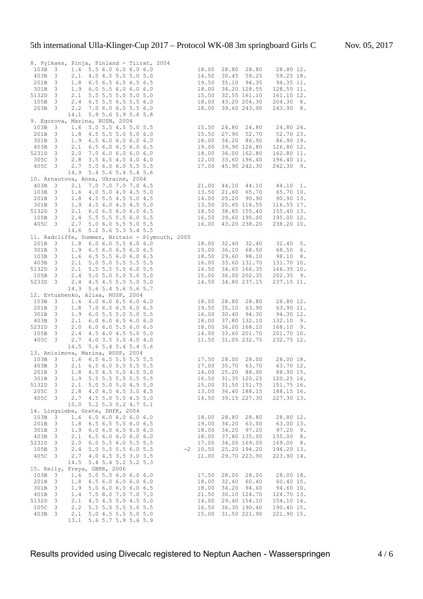|                                                                                     |                                                    |            |                                            |  | 8. Pylkaes, Pinja, Finland - Tiirat, 2004<br>103B 3 1.6 5.5 6.0 6.0 6.0 6.0 18.00 28.80 28.80 28.80 12.<br>2010 14.50 30.45 59.25 59.25 18.                                                                                                        |            |       |                            |                                                                |    |
|-------------------------------------------------------------------------------------|----------------------------------------------------|------------|--------------------------------------------|--|----------------------------------------------------------------------------------------------------------------------------------------------------------------------------------------------------------------------------------------------------|------------|-------|----------------------------|----------------------------------------------------------------|----|
|                                                                                     |                                                    |            |                                            |  |                                                                                                                                                                                                                                                    |            |       |                            |                                                                |    |
|                                                                                     |                                                    |            |                                            |  |                                                                                                                                                                                                                                                    |            |       |                            |                                                                |    |
| 301B                                                                                | $\frac{1}{3}$<br>$\overline{\mathbf{3}}$           |            | 1.8 6.5 6.5 6.5 6.5 6.5                    |  | 1.9 6.0 5.5 6.0 6.0 6.0                                                                                                                                                                                                                            |            |       |                            | 19.50 35.10 94.35 94.35 11.<br>18.00 34.20 128.55 128.55 11.   |    |
| 5132D 3                                                                             |                                                    |            | 2.1 5.5 5.5 5.0 5.0 5.0                    |  |                                                                                                                                                                                                                                                    |            |       |                            |                                                                |    |
| 105B 3                                                                              |                                                    |            | 2.4 6.5 5.5 6.5 5.5 6.0                    |  |                                                                                                                                                                                                                                                    |            |       |                            | 15.50 32.55 161.10 161.10 12.<br>18.00 43.20 204.30 204.30 8.  |    |
| 203B 3                                                                              |                                                    | 2.2        | 7.0 6.0 6.0 5.5 6.0                        |  |                                                                                                                                                                                                                                                    |            |       | 18.00 39.60 243.90         | 243.90 8.                                                      |    |
|                                                                                     |                                                    | 14.1       | 5.9 5.6 5.9 5.6 5.8                        |  |                                                                                                                                                                                                                                                    |            |       |                            |                                                                |    |
| 9. Egorova, Marina, RUSN, 2004                                                      |                                                    |            |                                            |  |                                                                                                                                                                                                                                                    |            |       |                            |                                                                |    |
| 103B                                                                                | $\overline{\mathbf{3}}$                            |            |                                            |  |                                                                                                                                                                                                                                                    |            |       |                            |                                                                |    |
| 201B                                                                                | $\overline{\mathbf{3}}$                            |            |                                            |  |                                                                                                                                                                                                                                                    |            |       |                            |                                                                |    |
| 301B                                                                                | $\overline{\mathbf{3}}$                            |            |                                            |  |                                                                                                                                                                                                                                                    |            |       |                            |                                                                |    |
|                                                                                     |                                                    |            |                                            |  |                                                                                                                                                                                                                                                    |            |       |                            |                                                                |    |
| 5231D 3                                                                             |                                                    |            |                                            |  |                                                                                                                                                                                                                                                    |            |       |                            |                                                                |    |
| 403B 3 2.1 6.5 6.0 0.0 0.0 6.0<br>5231D 3 2.0 7.0 6.0 6.0 6.0 6.0 6.0<br>305C 3 2.8 |                                                    |            |                                            |  | Marina, RUSN, 2004<br>1.6 5.0 5.5 4.5 5.0 5.5<br>1.8 4.5 5.5 5.0 5.0 6.0<br>1.9 6.5 6.0 6.0 6.0 6.0<br>1.9 6.5 6.0 6.0 6.0 6.0<br>1.8 9.5 6.0 6.0 6.0<br>1.8 9.90 126.80<br>1.9 6.9 0 126.80<br>1.9 0 39.90 126.80<br>1.9 0 39.90 126.80<br>1.9 12 |            |       |                            |                                                                |    |
| 405C 3                                                                              |                                                    | 2.7        |                                            |  | 5.0 6.0 6.0 5.5 5.5                                                                                                                                                                                                                                |            |       |                            | 17.00 45.90 242.30 242.30 9.                                   |    |
|                                                                                     |                                                    | 14.9       | 5.4 5.6 5.4 5.4 5.6                        |  |                                                                                                                                                                                                                                                    |            |       |                            |                                                                |    |
| 10. Arnautova, Anna, Ukraine, 2004                                                  |                                                    |            |                                            |  |                                                                                                                                                                                                                                                    |            |       |                            |                                                                |    |
|                                                                                     |                                                    |            |                                            |  |                                                                                                                                                                                                                                                    |            |       |                            |                                                                |    |
|                                                                                     |                                                    |            |                                            |  |                                                                                                                                                                                                                                                    |            |       |                            |                                                                |    |
|                                                                                     |                                                    |            |                                            |  |                                                                                                                                                                                                                                                    |            |       |                            |                                                                |    |
|                                                                                     |                                                    |            |                                            |  |                                                                                                                                                                                                                                                    |            |       |                            |                                                                |    |
|                                                                                     |                                                    |            |                                            |  |                                                                                                                                                                                                                                                    |            |       |                            |                                                                |    |
|                                                                                     |                                                    |            |                                            |  | 10. Arnautova, Anna, Ukraine, 2004<br>403B 3 2.1 7.0 7.0 7.0 7.0 6.5<br>103B 3 1.6 4.0 5.0 4.0 4.5 5.0<br>201B 3 1.8 4.5 5.5 4.5 5.0<br>301B 3 1.9 4.5 4.0 4.5 4.5 5.0<br>5132D 3 2.1 6.0 6.5 6.0 6.0 6.5<br>5132D 3 2.4 5.5 5.5 5.5 6.0 5         |            |       |                            |                                                                |    |
|                                                                                     |                                                    |            |                                            |  |                                                                                                                                                                                                                                                    |            |       |                            |                                                                |    |
|                                                                                     |                                                    | 14.6       | 5.2 5.6 5.3 5.4 5.5                        |  |                                                                                                                                                                                                                                                    |            |       |                            |                                                                |    |
|                                                                                     |                                                    |            |                                            |  | 11. Radcliffe, Summer, Britain - Plymouth, 2005                                                                                                                                                                                                    |            |       |                            |                                                                |    |
|                                                                                     |                                                    |            |                                            |  |                                                                                                                                                                                                                                                    |            |       |                            |                                                                |    |
|                                                                                     |                                                    |            |                                            |  |                                                                                                                                                                                                                                                    |            |       |                            |                                                                |    |
|                                                                                     |                                                    |            |                                            |  |                                                                                                                                                                                                                                                    |            |       |                            |                                                                |    |
|                                                                                     |                                                    |            |                                            |  | 2018 3 1.8 6.0 6.0 5.5 6.0 6.5 18.00 32.40 32.40 32.40 5.<br>301B 3 1.9 6.5 6.0 6.5 5.5 6.0 6.5 19.00 36.10 68.50 68.50 6.<br>103B 3 1.6 6.5 5.5 6.0 6.0 6.5 18.50 29.60 98.10 98.10 8.<br>403B 3 2.1 5.0 5.0 5.5 5.5 5.5 5.5 16.00                |            |       |                            |                                                                |    |
|                                                                                     |                                                    |            |                                            |  |                                                                                                                                                                                                                                                    |            |       |                            |                                                                |    |
|                                                                                     |                                                    |            |                                            |  |                                                                                                                                                                                                                                                    |            |       |                            |                                                                |    |
|                                                                                     |                                                    | 14.3       | 5.6 5.4 5.6 5.6 5.7                        |  |                                                                                                                                                                                                                                                    |            |       |                            |                                                                |    |
|                                                                                     |                                                    |            |                                            |  |                                                                                                                                                                                                                                                    |            |       |                            |                                                                |    |
|                                                                                     |                                                    |            |                                            |  |                                                                                                                                                                                                                                                    |            |       |                            |                                                                |    |
|                                                                                     |                                                    |            | 12. Evtushenko, Alisa, RUSP, 2004          |  |                                                                                                                                                                                                                                                    |            |       |                            |                                                                |    |
| 103B                                                                                | $\overline{\mathbf{3}}$                            |            |                                            |  |                                                                                                                                                                                                                                                    |            |       |                            | 28.80 12.                                                      |    |
| 201B                                                                                |                                                    |            |                                            |  |                                                                                                                                                                                                                                                    |            |       |                            | 63.90 11.                                                      |    |
| 301B                                                                                | $\begin{array}{c} 3 \\ 3 \end{array}$              |            |                                            |  |                                                                                                                                                                                                                                                    |            |       |                            | 94.30 12.                                                      |    |
| 403B                                                                                | $\overline{\mathbf{3}}$                            |            |                                            |  |                                                                                                                                                                                                                                                    |            |       |                            | $132.10$ 9.                                                    |    |
| 403B 3 2.1<br>5231D 3 2.0                                                           |                                                    |            |                                            |  |                                                                                                                                                                                                                                                    |            |       |                            | 18.00 37.80 132.10 132.10<br>18.00 36.00 168.10 168.10         | 9. |
| 105B<br>405C                                                                        | $\overline{\mathbf{3}}$<br>$\overline{\mathbf{3}}$ |            |                                            |  |                                                                                                                                                                                                                                                    |            |       |                            |                                                                |    |
|                                                                                     |                                                    | 14.5       | 5.6 5.4 5.4 5.4 5.6                        |  |                                                                                                                                                                                                                                                    |            |       |                            | 14.00 33.60 201.70 201.70 10.<br>11.50 31.05 232.75 232.75 12. |    |
| 13. Anisimova, Marina, RUSP, 2004                                                   |                                                    |            |                                            |  |                                                                                                                                                                                                                                                    |            |       |                            |                                                                |    |
| 103B                                                                                |                                                    |            |                                            |  |                                                                                                                                                                                                                                                    |            |       |                            | 28.00 18.                                                      |    |
| 403B                                                                                |                                                    |            |                                            |  |                                                                                                                                                                                                                                                    |            |       |                            | 63.70 12.                                                      |    |
| 201B                                                                                |                                                    |            |                                            |  |                                                                                                                                                                                                                                                    |            |       |                            | 88.90 15.                                                      |    |
| 301B                                                                                | 3                                                  | 1.9        | 5.5 5.5 5.5 5.5 5.5                        |  | isimova, Marina, RUSP, 2004<br>3 1.6 6.5 6.5 5.5 5.5 5.5<br>3 2.1 6.5 6.0 5.5 5.5 5.5 5.5 17.00 35.70 63.70<br>3 1.8 4.5 4.5 5.0 4.5 5.0 14.00 25.20 88.90                                                                                         | 16.50      |       | 31.35 120.25               | 120.25 16.                                                     |    |
| 5132D                                                                               | 3                                                  | 2.1        | 5.0 5.0 5.0 4.5 5.0                        |  |                                                                                                                                                                                                                                                    | 15.00      |       | 31.50 151.75               | 151.75 16.                                                     |    |
| 205C                                                                                | 3                                                  | 2.8        | 4.0 4.5 4.5 3.0 4.5                        |  |                                                                                                                                                                                                                                                    | 13.00      |       | 36.40 188.15               | 188.15 16.                                                     |    |
| 405C                                                                                | 3                                                  | 2.7        | 4.5 5.0 5.5 4.5 5.0                        |  |                                                                                                                                                                                                                                                    | 14.50      |       | 39.15 227.30               | 227.30 13.                                                     |    |
|                                                                                     |                                                    | 15.0       | 5.2 5.3 5.2 4.7 5.1                        |  |                                                                                                                                                                                                                                                    |            |       |                            |                                                                |    |
| 14. Lingslebe, Grete, DHfK, 2004                                                    |                                                    |            |                                            |  |                                                                                                                                                                                                                                                    |            |       |                            |                                                                |    |
| 103B                                                                                | 3                                                  | 1.6        | 6.06.06.06.06.0                            |  |                                                                                                                                                                                                                                                    | 18.00      | 28.80 | 28.80                      | 28.80 12.                                                      |    |
| 201B                                                                                | 3                                                  | 1.8        | 6.5 6.5 5.5 6.0 6.5                        |  |                                                                                                                                                                                                                                                    | 19.00      | 34.20 | 63.00                      | 63.00 13.                                                      |    |
| 301B                                                                                | $\overline{\mathbf{3}}$                            | 1.9        | 6.06.06.06.06.0                            |  |                                                                                                                                                                                                                                                    | 18.00      | 34.20 | 97.20                      | 97.20                                                          | 9. |
| 403B                                                                                | $\overline{\mathbf{3}}$                            | 2.1        | 6.56.06.06.06.0                            |  |                                                                                                                                                                                                                                                    | 18.00      |       | 37.80 135.00               | 135.00                                                         | 8. |
| 5231D                                                                               | $\overline{\mathbf{3}}$                            | 2.0        | 6.0 5.5 6.0 5.5 5.5                        |  |                                                                                                                                                                                                                                                    | 17.00      |       | 34.00 169.00               | 169.00                                                         | 8. |
| 105B                                                                                | $\overline{\mathbf{3}}$                            | 2.4        | 5.0 5.5 5.5 6.0 5.5                        |  |                                                                                                                                                                                                                                                    | $-2$ 10.50 |       | 25.20 194.20               | 194.20 13.                                                     |    |
| 405C                                                                                | $\overline{\mathbf{3}}$                            | 2.7        | 4.0 4.5 3.5 3.0 3.5                        |  |                                                                                                                                                                                                                                                    | 11.00      |       | 29.70 223.90               | 223.90 14.                                                     |    |
|                                                                                     |                                                    | 14.5       | 5.4 5.4 5.2 5.2 5.3                        |  |                                                                                                                                                                                                                                                    |            |       |                            |                                                                |    |
| 15. Kelly, Freya, GBRR, 2006                                                        |                                                    |            |                                            |  |                                                                                                                                                                                                                                                    |            |       |                            |                                                                |    |
| 103B<br>201B                                                                        | 3                                                  | 1.6<br>1.8 | 5.0 5.5 6.0 6.0 6.0<br>6.56.06.06.06.0     |  |                                                                                                                                                                                                                                                    | 17.50      | 28.00 | 28.00<br>18.00 32.40 60.40 | 28.00 18.<br>60.40 15.                                         |    |
| 301B                                                                                | 3<br>3                                             | 1.9        | 5.0 6.0 6.0 6.0 6.5                        |  |                                                                                                                                                                                                                                                    | 18.00      |       | 34.20 94.60                | 94.60 10.                                                      |    |
| 401B                                                                                | 3                                                  | 1.4        | 7.5 8.0 7.0 7.0 7.0                        |  |                                                                                                                                                                                                                                                    | 21.50      |       | 30.10 124.70               | 124.70 13.                                                     |    |
| 5132D                                                                               | 3                                                  | 2.1        | 4.5 4.5 5.0 4.5 5.0                        |  |                                                                                                                                                                                                                                                    | 14.00      |       | 29.40 154.10               | 154.10 14.                                                     |    |
| 105C                                                                                | 3                                                  | 2.2        | 5.5 5.5 5.5 5.0 5.5                        |  |                                                                                                                                                                                                                                                    | 16.50      |       | 36.30 190.40               | 190.40 15.                                                     |    |
| 403B                                                                                | 3                                                  | 2.1        | 5.0 4.5 5.5 5.0 5.0<br>5.6 5.7 5.9 5.6 5.9 |  |                                                                                                                                                                                                                                                    | 15.00      |       | 31.50 221.90               | 221.90 15.                                                     |    |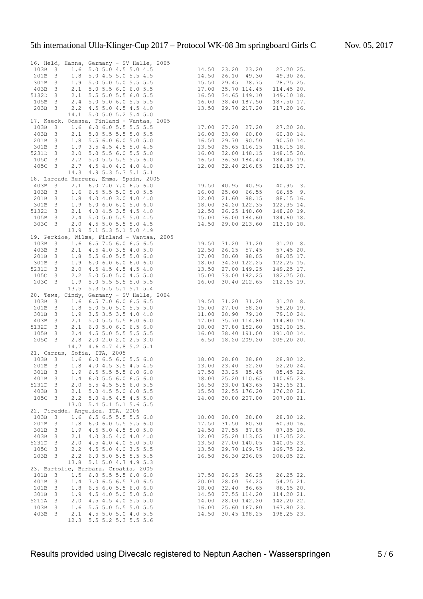|          |                         |             | 16. Held, Hanna, Germany - SV Halle, 2005<br>910, Hanna, Germany - SV Halle, 2005<br>3 1.6 5.0 5.0 4.5 5.0 4.5<br>3 1.8 5.0 4.5 5.0 5.5 4.5<br>3 1.9 5.0 5.0 5.0 5.5 5.5<br>3 2.1 5.0 5.5 6.0 6.0 5.5<br>3 2.1 5.5 5.0 5.5 6.0 6.0 5.5<br>3 2.4 5.0 5.0 6.0 5.5<br>5 5.5<br>5 16.50 34.65 1 |       |                               |            |
|----------|-------------------------|-------------|---------------------------------------------------------------------------------------------------------------------------------------------------------------------------------------------------------------------------------------------------------------------------------------------|-------|-------------------------------|------------|
| 103B     |                         |             |                                                                                                                                                                                                                                                                                             |       |                               |            |
| 201B     |                         |             |                                                                                                                                                                                                                                                                                             |       |                               |            |
| 301B     |                         |             |                                                                                                                                                                                                                                                                                             |       |                               |            |
| 403B     |                         |             |                                                                                                                                                                                                                                                                                             |       |                               |            |
| 5132D 3  |                         |             |                                                                                                                                                                                                                                                                                             |       |                               |            |
| 105B 3   |                         |             |                                                                                                                                                                                                                                                                                             |       |                               |            |
| 203B 3   |                         |             | 2.2 4.5 5.0 4.5 4.5 4.0                                                                                                                                                                                                                                                                     |       | 13.50 29.70 217.20 217.20 16. |            |
|          |                         | 14.1        | 5.0 5.0 5.2 5.4 5.0                                                                                                                                                                                                                                                                         |       |                               |            |
|          |                         |             | 17. Kaeck, Odessa, Finland - Vantaa, 2005<br>103B 3 1.6 6.0 6.0 5.5 5.5 5.5 17.00 27.20 27.20 27.20 20.                                                                                                                                                                                     |       |                               |            |
|          |                         |             |                                                                                                                                                                                                                                                                                             |       |                               |            |
|          |                         |             |                                                                                                                                                                                                                                                                                             |       |                               |            |
|          |                         |             | 103B 3 1.6 6.0 6.0 5.5 5.5 5.5<br>103B 3 2.1 5.0 5.5 5.5 5.6 5.5<br>201B 3 1.8 5.5 6.0 6.0 5.0 5.0 16.50 29.70 90.50 90.50 14.<br>301B 3 1.9 3.5 4.5 4.5 5.0 4.5 13.50 25.65 116.15 116.15 18.<br>5231D 3 2.0 5.0 5.5 5.6 0 5.5 5.0 16                                                      |       |                               |            |
|          |                         |             |                                                                                                                                                                                                                                                                                             |       |                               |            |
| 5231D 3  |                         |             |                                                                                                                                                                                                                                                                                             |       |                               |            |
|          |                         |             |                                                                                                                                                                                                                                                                                             |       |                               |            |
|          |                         |             |                                                                                                                                                                                                                                                                                             |       |                               |            |
|          |                         |             | 14.3 4.9 5.3 5.3 5.1 5.1                                                                                                                                                                                                                                                                    |       |                               |            |
|          |                         |             | 18. Larcada Herrera, Emma, Spain, 2005<br>103B 3 2.1 6.5 5.5 5.0 5.0 5.5 16.00 25.60 66.55 66.55 9.<br>201B 3 1.8 4.0 4.0 3.0 4.0 4.0 12.00 21.60 88.15 88.15 16.<br>301B 3 1.9 6.0 6.0 6.0 5.0 6.0 18.00 34.20 122.35 122.35 14.<br>5                                                      |       |                               |            |
|          |                         |             |                                                                                                                                                                                                                                                                                             |       |                               |            |
|          |                         |             |                                                                                                                                                                                                                                                                                             |       |                               |            |
|          |                         |             |                                                                                                                                                                                                                                                                                             |       |                               |            |
|          |                         |             |                                                                                                                                                                                                                                                                                             |       |                               |            |
|          |                         |             |                                                                                                                                                                                                                                                                                             |       |                               |            |
|          |                         |             |                                                                                                                                                                                                                                                                                             |       |                               |            |
|          |                         |             | 13.9 5.1 5.3 5.1 5.0 4.9                                                                                                                                                                                                                                                                    |       |                               |            |
|          |                         |             | 19. Perkioe, Wilma, Finland - Vartas<br>103B 3 1.6 6.5 7.5 6.0 6.5 6.5 19.50 31.20 31.20 31.20 8.<br>403B 3 2.1 4.5 4.0 3.5 4.0 5.0 12.50 26.25 57.45 57.45 20.<br>201B 3 1.8 5.5 6.0 5.5 5.0 6.0 17.00 30.60 88.05 88.05 17.<br>301B                                                       |       |                               |            |
|          |                         |             |                                                                                                                                                                                                                                                                                             |       |                               |            |
|          |                         |             |                                                                                                                                                                                                                                                                                             |       |                               |            |
|          |                         |             |                                                                                                                                                                                                                                                                                             |       |                               |            |
|          |                         |             |                                                                                                                                                                                                                                                                                             |       |                               |            |
|          |                         |             |                                                                                                                                                                                                                                                                                             |       |                               |            |
|          |                         |             |                                                                                                                                                                                                                                                                                             |       |                               |            |
| $203C$ 3 |                         |             | 1.9 5.0 5.5 5.5 5.0 5.5                                                                                                                                                                                                                                                                     |       | 16.00 30.40 212.65 212.65 19. |            |
|          |                         |             | 13.5 5.3 5.5 5.1 5.1 5.4                                                                                                                                                                                                                                                                    |       |                               |            |
|          |                         |             | 13.5 5.3 5.5 5.1 5.1 5.4<br>20. Tews, Cindy, Germany - SV Halle, 2004<br>103B 3 1.6 6.5 7.0 6.0 6.5 6.5<br>201B 3 1.8 5.0 5.0 5.5 5 5.0<br>301B 3 1.9 3.5 3.5 3.5 4.0 4.0<br>403B 3 2.1 5.0 5.5 5.5 6.0 6.0<br>5132D 3 2.1 6.0 5.0 6.0 6.5                                                  |       |                               |            |
|          |                         |             |                                                                                                                                                                                                                                                                                             |       |                               |            |
|          |                         |             |                                                                                                                                                                                                                                                                                             |       |                               |            |
|          |                         |             |                                                                                                                                                                                                                                                                                             |       |                               |            |
|          |                         |             |                                                                                                                                                                                                                                                                                             |       |                               |            |
|          |                         |             |                                                                                                                                                                                                                                                                                             |       |                               |            |
|          |                         |             |                                                                                                                                                                                                                                                                                             |       |                               |            |
|          |                         |             |                                                                                                                                                                                                                                                                                             |       |                               |            |
|          |                         |             | 14.7 4.6 4.7 4.8 5.2 5.1                                                                                                                                                                                                                                                                    |       |                               |            |
|          |                         |             | 21. Carrus, Sofia, ITA, 2005                                                                                                                                                                                                                                                                |       |                               |            |
| 103B     |                         |             | 21. Carrus, Sofia, ITA, 2005<br>103B 3 1.6 6.0 6.5 6.0 5.5 6.0 18.00 28.80 28.80 28.80 12.<br>201B 3 1.8 4.0 4.5 3.5 4.5 4.5 13.00 23.40 52.20 52.20 24.<br>301B 3 1.9 6.5 5.5 5.5 6.0 6.0 17.50 33.25 85.45 85.45 22.                                                                      |       |                               |            |
|          |                         |             |                                                                                                                                                                                                                                                                                             |       |                               |            |
|          |                         |             |                                                                                                                                                                                                                                                                                             |       |                               |            |
| 401B     | 3                       |             | 1.4 6.0 5.5 6.0 6.5 6.0                                                                                                                                                                                                                                                                     | 18.00 | 25.20 110.65                  | 110.65 23. |
| 5231D    | 3                       | 2.0         | 5.5 4.5 5.5 6.0 5.5                                                                                                                                                                                                                                                                         | 16.50 | 33.00 143.65                  | 143.65 21. |
| 403B     | 3                       | 2.1         | 5.0 4.5 5.0 6.0 5.5                                                                                                                                                                                                                                                                         | 15.50 | 32.55 176.20                  | 176.20 21. |
| 105C     | 3                       | 2.2         | 5.0 4.5 4.5 4.5 5.0                                                                                                                                                                                                                                                                         | 14.00 | 30.80 207.00                  | 207.00 21. |
|          |                         | 13.0        | 5.4 5.1 5.1 5.6 5.5                                                                                                                                                                                                                                                                         |       |                               |            |
|          |                         |             | 22. Piredda, Angelica, ITA, 2006                                                                                                                                                                                                                                                            |       |                               |            |
| 103B     | 3                       | 1.6         | 6.5 6.5 5.5 5.5 6.0                                                                                                                                                                                                                                                                         | 18.00 | 28.80<br>28.80                | 28.80 12.  |
| 201B     | 3                       | 1.8         | $6.0$ $6.0$ $5.5$ $5.5$ $6.0$                                                                                                                                                                                                                                                               | 17.50 | 31.50<br>60.30                | 60.30 16.  |
| 301B     | $\mathbf{3}$            | 1.9         | 4.5 5.0 4.5 5.0 5.0                                                                                                                                                                                                                                                                         | 14.50 | 27.55 87.85                   | 87.85 18.  |
| 403B     | $\overline{\mathbf{3}}$ | 2.1         | 4.0 3.5 4.0 4.0 4.0                                                                                                                                                                                                                                                                         | 12.00 | 25.20 113.05                  | 113.05 22. |
| 5231D    | $\mathbf{3}$            | 2.0         | 4.5 4.0 4.0 5.0 5.0                                                                                                                                                                                                                                                                         | 13.50 | 27.00 140.05                  | 140.05 23. |
| 105C     | 3                       | 2.2         | 4.5 5.0 4.0 3.5 5.5                                                                                                                                                                                                                                                                         | 13.50 | 29.70 169.75                  | 169.75 22. |
| 203B     | $\mathbf{3}$            | 2.2         | 6.0 5.0 5.5 5.5 5.5                                                                                                                                                                                                                                                                         | 16.50 | 36.30 206.05                  | 206.05 22. |
|          |                         | 13.8        | 5.1 5.0 4.7 4.9 5.3                                                                                                                                                                                                                                                                         |       |                               |            |
|          |                         |             | 23. Bartolic, Barbara, Croatia, 2005                                                                                                                                                                                                                                                        |       |                               |            |
|          |                         |             |                                                                                                                                                                                                                                                                                             |       |                               |            |
| 101B     | 3                       | 1.5         | 6.0 5.5 5.5 6.0 6.0                                                                                                                                                                                                                                                                         | 17.50 | 26.25<br>26.25                | 26.25 22.  |
| 401B     | 3                       | 1.4         | 7.0 6.5 6.5 7.0 6.5                                                                                                                                                                                                                                                                         | 20.00 | 28.00 54.25                   | 54.25 21.  |
| 201B     | 3                       | 1.8         | $6.5$ $6.0$ $5.5$ $6.0$ $6.0$                                                                                                                                                                                                                                                               | 18.00 | 32.40 86.65                   | 86.65 20.  |
| 301B     | 3                       | 1.9         | 4.5 4.0 5.0 5.0 5.0                                                                                                                                                                                                                                                                         | 14.50 | 27.55 114.20                  | 114.20 21. |
| 5211A    | 3                       | 2.0         | 4.5 4.5 4.0 5.5 5.0                                                                                                                                                                                                                                                                         | 14.00 | 28.00 142.20                  | 142.20 22. |
| 103B     | $\mathbf{3}$            | 1.6         | 5.5 5.0 5.5 5.0 5.5                                                                                                                                                                                                                                                                         |       | 16.00 25.60 167.80            | 167.80 23. |
| 403B     | $\mathbf{3}$            | 2.1<br>12.3 | 4.5 5.0 5.0 4.0 5.5<br>5.5 5.2 5.3 5.5 5.6                                                                                                                                                                                                                                                  | 14.50 | 30.45 198.25                  | 198.25 23. |

#### Results provided using Divecalc registered to Neptun Aachen - Wasserspringen 5/6